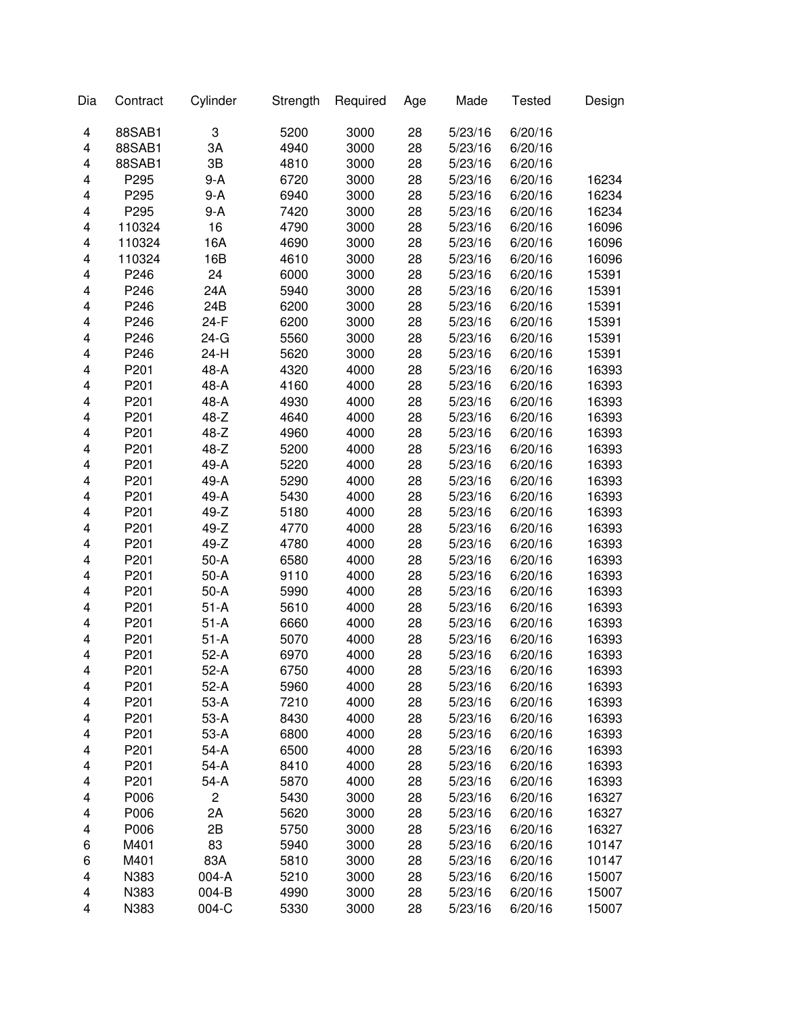| Dia | Contract         | Cylinder       | Strength | Required | Age | Made    | <b>Tested</b> | Design |
|-----|------------------|----------------|----------|----------|-----|---------|---------------|--------|
| 4   | 88SAB1           | 3              | 5200     | 3000     | 28  | 5/23/16 | 6/20/16       |        |
| 4   | 88SAB1           | 3A             | 4940     | 3000     | 28  | 5/23/16 | 6/20/16       |        |
| 4   | 88SAB1           | 3B             | 4810     | 3000     | 28  | 5/23/16 | 6/20/16       |        |
| 4   | P295             | 9-A            | 6720     | 3000     | 28  | 5/23/16 | 6/20/16       | 16234  |
| 4   | P295             | $9-A$          | 6940     | 3000     | 28  | 5/23/16 | 6/20/16       | 16234  |
| 4   | P295             | 9-A            | 7420     | 3000     | 28  | 5/23/16 | 6/20/16       | 16234  |
| 4   | 110324           | 16             | 4790     | 3000     | 28  | 5/23/16 | 6/20/16       | 16096  |
| 4   | 110324           | 16A            | 4690     | 3000     | 28  | 5/23/16 | 6/20/16       | 16096  |
| 4   | 110324           | 16B            | 4610     | 3000     | 28  | 5/23/16 | 6/20/16       | 16096  |
| 4   | P246             | 24             | 6000     | 3000     | 28  | 5/23/16 | 6/20/16       | 15391  |
| 4   | P246             | 24A            | 5940     | 3000     | 28  | 5/23/16 | 6/20/16       | 15391  |
| 4   | P246             | 24B            | 6200     | 3000     | 28  | 5/23/16 | 6/20/16       | 15391  |
| 4   | P246             | 24-F           | 6200     | 3000     | 28  | 5/23/16 | 6/20/16       | 15391  |
| 4   | P246             | $24-G$         | 5560     | 3000     | 28  | 5/23/16 | 6/20/16       | 15391  |
| 4   | P246             | 24-H           | 5620     | 3000     | 28  | 5/23/16 | 6/20/16       | 15391  |
| 4   | P201             | 48-A           | 4320     | 4000     | 28  | 5/23/16 | 6/20/16       | 16393  |
| 4   | P201             | 48-A           | 4160     | 4000     | 28  | 5/23/16 | 6/20/16       | 16393  |
|     |                  |                |          |          |     |         |               |        |
| 4   | P201             | 48-A           | 4930     | 4000     | 28  | 5/23/16 | 6/20/16       | 16393  |
| 4   | P201             | $48 - Z$       | 4640     | 4000     | 28  | 5/23/16 | 6/20/16       | 16393  |
| 4   | P201             | 48-Z           | 4960     | 4000     | 28  | 5/23/16 | 6/20/16       | 16393  |
| 4   | P201             | 48-Z           | 5200     | 4000     | 28  | 5/23/16 | 6/20/16       | 16393  |
| 4   | P201             | 49-A           | 5220     | 4000     | 28  | 5/23/16 | 6/20/16       | 16393  |
| 4   | P201             | 49-A           | 5290     | 4000     | 28  | 5/23/16 | 6/20/16       | 16393  |
| 4   | P201             | 49-A           | 5430     | 4000     | 28  | 5/23/16 | 6/20/16       | 16393  |
| 4   | P201             | $49-Z$         | 5180     | 4000     | 28  | 5/23/16 | 6/20/16       | 16393  |
| 4   | P201             | $49-Z$         | 4770     | 4000     | 28  | 5/23/16 | 6/20/16       | 16393  |
| 4   | P201             | 49-Z           | 4780     | 4000     | 28  | 5/23/16 | 6/20/16       | 16393  |
| 4   | P201             | $50-A$         | 6580     | 4000     | 28  | 5/23/16 | 6/20/16       | 16393  |
| 4   | P201             | $50-A$         | 9110     | 4000     | 28  | 5/23/16 | 6/20/16       | 16393  |
| 4   | P201             | $50-A$         | 5990     | 4000     | 28  | 5/23/16 | 6/20/16       | 16393  |
| 4   | P201             | $51-A$         | 5610     | 4000     | 28  | 5/23/16 | 6/20/16       | 16393  |
| 4   | P201             | $51-A$         | 6660     | 4000     | 28  | 5/23/16 | 6/20/16       | 16393  |
| 4   | P201             | $51-A$         | 5070     | 4000     | 28  | 5/23/16 | 6/20/16       | 16393  |
| 4   | P201             | $52-A$         | 6970     | 4000     | 28  | 5/23/16 | 6/20/16       | 16393  |
| 4   | P <sub>201</sub> | 52-A           | 6750     | 4000     | 28  | 5/23/16 | 6/20/16       | 16393  |
| 4   | P201             | $52-A$         | 5960     | 4000     | 28  | 5/23/16 | 6/20/16       | 16393  |
| 4   | P201             | 53-A           | 7210     | 4000     | 28  | 5/23/16 | 6/20/16       | 16393  |
| 4   | P201             | 53-A           | 8430     | 4000     | 28  | 5/23/16 | 6/20/16       | 16393  |
| 4   | P201             | 53-A           | 6800     | 4000     | 28  | 5/23/16 | 6/20/16       | 16393  |
| 4   | P201             | $54-A$         | 6500     | 4000     | 28  | 5/23/16 | 6/20/16       | 16393  |
| 4   | P201             | $54-A$         | 8410     | 4000     | 28  | 5/23/16 | 6/20/16       | 16393  |
| 4   | P201             | 54-A           | 5870     | 4000     | 28  | 5/23/16 | 6/20/16       | 16393  |
| 4   | P006             | $\overline{c}$ | 5430     | 3000     | 28  | 5/23/16 | 6/20/16       | 16327  |
| 4   | P006             | 2A             | 5620     | 3000     | 28  | 5/23/16 | 6/20/16       | 16327  |
| 4   | P006             | 2B             | 5750     | 3000     | 28  | 5/23/16 | 6/20/16       | 16327  |
| 6   | M401             | 83             | 5940     | 3000     | 28  | 5/23/16 | 6/20/16       | 10147  |
| 6   | M401             | 83A            | 5810     | 3000     | 28  | 5/23/16 | 6/20/16       | 10147  |
| 4   | N383             | 004-A          | 5210     | 3000     | 28  | 5/23/16 | 6/20/16       |        |
|     |                  | 004-B          |          |          |     |         |               | 15007  |
| 4   | N383             |                | 4990     | 3000     | 28  | 5/23/16 | 6/20/16       | 15007  |
| 4   | N383             | 004-C          | 5330     | 3000     | 28  | 5/23/16 | 6/20/16       | 15007  |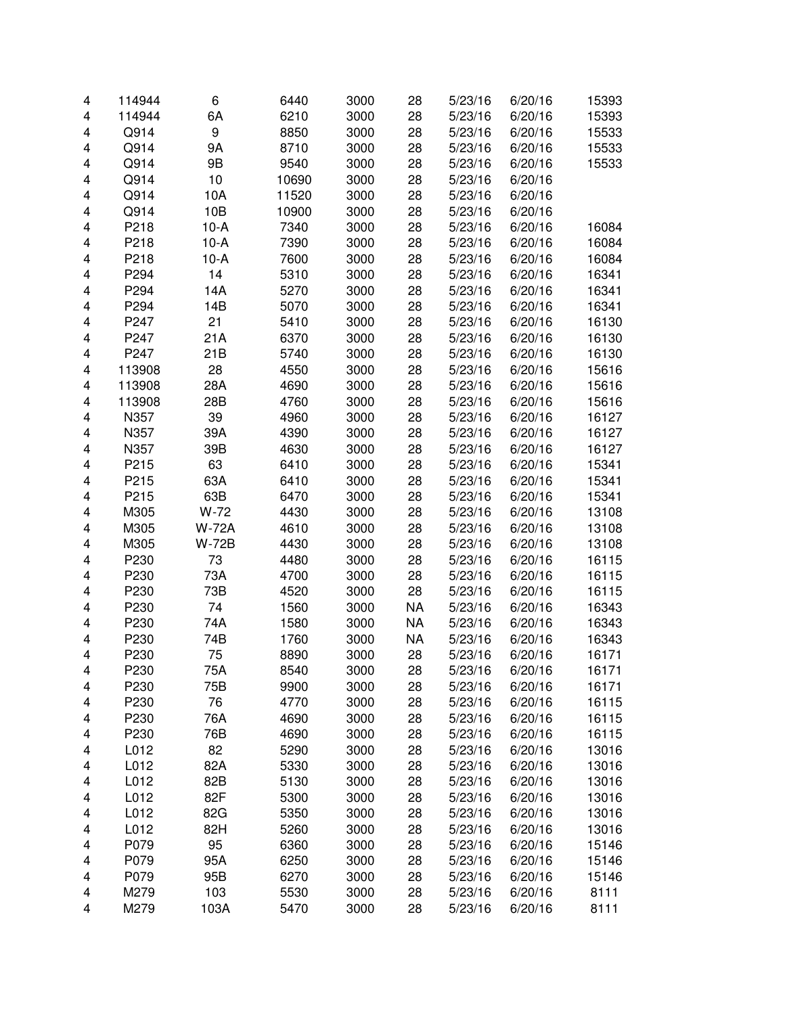| 4                       | 114944 | 6            | 6440  | 3000 | 28        | 5/23/16            | 6/20/16 | 15393 |
|-------------------------|--------|--------------|-------|------|-----------|--------------------|---------|-------|
| $\overline{\mathbf{4}}$ | 114944 | 6A           | 6210  | 3000 | 28        | 5/23/16            | 6/20/16 | 15393 |
| $\overline{\mathbf{4}}$ | Q914   | 9            | 8850  | 3000 | 28        | 5/23/16            | 6/20/16 | 15533 |
| $\overline{\mathbf{4}}$ | Q914   | 9A           | 8710  | 3000 | 28        | 5/23/16            | 6/20/16 | 15533 |
| 4                       | Q914   | 9B           | 9540  | 3000 | 28        | 5/23/16            | 6/20/16 | 15533 |
| 4                       | Q914   | 10           | 10690 | 3000 | 28        | 5/23/16            | 6/20/16 |       |
| 4                       | Q914   | 10A          | 11520 | 3000 | 28        | 5/23/16            | 6/20/16 |       |
| 4                       | Q914   | 10B          | 10900 | 3000 | 28        | 5/23/16            | 6/20/16 |       |
| $\overline{\mathbf{4}}$ | P218   | $10-A$       | 7340  | 3000 | 28        | 5/23/16            | 6/20/16 | 16084 |
| $\overline{\mathbf{4}}$ | P218   | $10-A$       | 7390  | 3000 | 28        | 5/23/16            | 6/20/16 | 16084 |
| $\overline{\mathbf{4}}$ | P218   | $10-A$       | 7600  | 3000 | 28        | 5/23/16            | 6/20/16 | 16084 |
| $\overline{\mathbf{4}}$ | P294   | 14           | 5310  | 3000 | 28        | 5/23/16            | 6/20/16 | 16341 |
| $\overline{\mathbf{4}}$ | P294   | 14A          | 5270  | 3000 | 28        | 5/23/16            | 6/20/16 | 16341 |
| $\overline{\mathbf{4}}$ | P294   | 14B          | 5070  | 3000 | 28        | 5/23/16            | 6/20/16 | 16341 |
| $\overline{\mathbf{4}}$ | P247   | 21           | 5410  | 3000 | 28        | 5/23/16            | 6/20/16 | 16130 |
| $\overline{\mathbf{4}}$ | P247   | 21A          | 6370  | 3000 | 28        | 5/23/16            | 6/20/16 | 16130 |
| $\overline{\mathbf{4}}$ | P247   | 21B          | 5740  | 3000 | 28        | 5/23/16            | 6/20/16 | 16130 |
| $\overline{\mathbf{4}}$ | 113908 | 28           | 4550  | 3000 | 28        | 5/23/16            | 6/20/16 | 15616 |
| 4                       | 113908 | 28A          | 4690  | 3000 | 28        | 5/23/16            | 6/20/16 | 15616 |
| 4                       | 113908 | 28B          | 4760  | 3000 | 28        | 5/23/16            | 6/20/16 | 15616 |
| 4                       | N357   | 39           | 4960  | 3000 | 28        | 5/23/16            | 6/20/16 | 16127 |
| 4                       | N357   | 39A          | 4390  | 3000 | 28        | 5/23/16            | 6/20/16 | 16127 |
| 4                       | N357   | 39B          | 4630  | 3000 | 28        | 5/23/16            | 6/20/16 | 16127 |
| 4                       | P215   | 63           | 6410  | 3000 | 28        | 5/23/16            | 6/20/16 | 15341 |
| 4                       | P215   | 63A          | 6410  | 3000 | 28        | 5/23/16            | 6/20/16 | 15341 |
| $\overline{\mathbf{4}}$ | P215   | 63B          | 6470  | 3000 | 28        | 5/23/16            | 6/20/16 | 15341 |
| $\overline{\mathbf{4}}$ | M305   | W-72         | 4430  | 3000 | 28        | 5/23/16            | 6/20/16 | 13108 |
| $\overline{\mathbf{4}}$ | M305   | <b>W-72A</b> | 4610  | 3000 | 28        | 5/23/16            | 6/20/16 | 13108 |
| $\overline{\mathbf{4}}$ | M305   | <b>W-72B</b> | 4430  | 3000 | 28        | 5/23/16            | 6/20/16 | 13108 |
| $\overline{\mathbf{4}}$ | P230   | 73           | 4480  | 3000 | 28        | 5/23/16            | 6/20/16 | 16115 |
| $\overline{\mathbf{4}}$ | P230   | 73A          | 4700  | 3000 | 28        | 5/23/16            | 6/20/16 | 16115 |
| $\overline{\mathbf{4}}$ | P230   | 73B          | 4520  | 3000 | 28        | 5/23/16            | 6/20/16 | 16115 |
| $\overline{\mathbf{4}}$ | P230   | 74           | 1560  | 3000 | <b>NA</b> | 5/23/16            | 6/20/16 | 16343 |
| $\overline{\mathbf{4}}$ | P230   | 74A          | 1580  | 3000 | <b>NA</b> | 5/23/16            | 6/20/16 | 16343 |
| $\overline{\mathbf{4}}$ | P230   | 74B          | 1760  | 3000 | <b>NA</b> | 5/23/16            | 6/20/16 | 16343 |
| $\overline{\mathbf{4}}$ | P230   | 75           | 8890  | 3000 |           | 5/23/16            | 6/20/16 | 16171 |
|                         |        |              |       |      | 28        |                    | 6/20/16 |       |
| 4                       | P230   | 75A          | 8540  | 3000 | 28        | 5/23/16            |         | 16171 |
| 4                       | P230   | 75B          | 9900  | 3000 | 28        | 5/23/16<br>5/23/16 | 6/20/16 | 16171 |
| 4                       | P230   | 76           | 4770  | 3000 | 28        |                    | 6/20/16 | 16115 |
| 4                       | P230   | 76A          | 4690  | 3000 | 28        | 5/23/16            | 6/20/16 | 16115 |
| 4                       | P230   | 76B          | 4690  | 3000 | 28        | 5/23/16            | 6/20/16 | 16115 |
| 4                       | L012   | 82           | 5290  | 3000 | 28        | 5/23/16            | 6/20/16 | 13016 |
| 4                       | L012   | 82A          | 5330  | 3000 | 28        | 5/23/16            | 6/20/16 | 13016 |
| 4                       | L012   | 82B          | 5130  | 3000 | 28        | 5/23/16            | 6/20/16 | 13016 |
| 4                       | L012   | 82F          | 5300  | 3000 | 28        | 5/23/16            | 6/20/16 | 13016 |
| 4                       | L012   | 82G          | 5350  | 3000 | 28        | 5/23/16            | 6/20/16 | 13016 |
| 4                       | L012   | 82H          | 5260  | 3000 | 28        | 5/23/16            | 6/20/16 | 13016 |
| 4                       | P079   | 95           | 6360  | 3000 | 28        | 5/23/16            | 6/20/16 | 15146 |
| 4                       | P079   | 95A          | 6250  | 3000 | 28        | 5/23/16            | 6/20/16 | 15146 |
| 4                       | P079   | 95B          | 6270  | 3000 | 28        | 5/23/16            | 6/20/16 | 15146 |
| 4                       | M279   | 103          | 5530  | 3000 | 28        | 5/23/16            | 6/20/16 | 8111  |
| 4                       | M279   | 103A         | 5470  | 3000 | 28        | 5/23/16            | 6/20/16 | 8111  |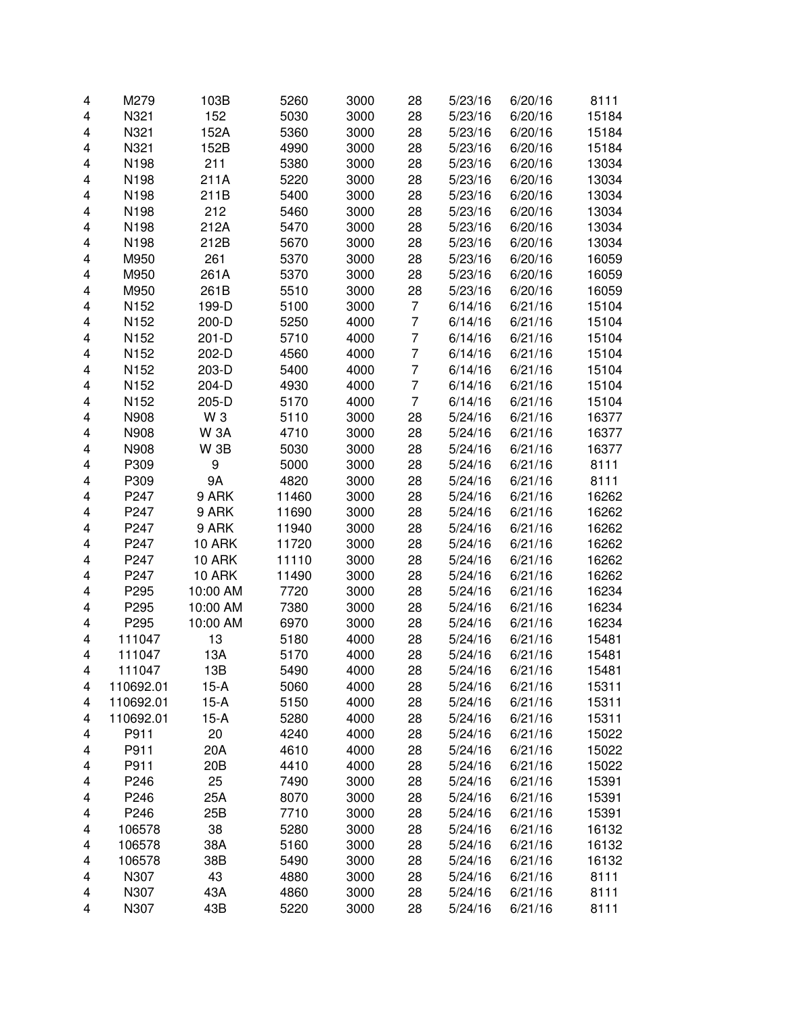| 4                       | M279      | 103B          | 5260  | 3000 | 28             | 5/23/16 | 6/20/16 | 8111  |
|-------------------------|-----------|---------------|-------|------|----------------|---------|---------|-------|
| 4                       | N321      | 152           | 5030  | 3000 | 28             | 5/23/16 | 6/20/16 | 15184 |
| 4                       | N321      | 152A          | 5360  | 3000 | 28             | 5/23/16 | 6/20/16 | 15184 |
| 4                       | N321      | 152B          | 4990  | 3000 | 28             | 5/23/16 | 6/20/16 | 15184 |
| 4                       | N198      | 211           | 5380  | 3000 | 28             | 5/23/16 | 6/20/16 | 13034 |
| 4                       | N198      | 211A          | 5220  | 3000 | 28             | 5/23/16 | 6/20/16 | 13034 |
| 4                       | N198      | 211B          | 5400  | 3000 | 28             | 5/23/16 | 6/20/16 | 13034 |
| 4                       | N198      | 212           | 5460  | 3000 | 28             | 5/23/16 | 6/20/16 | 13034 |
| 4                       | N198      | 212A          | 5470  | 3000 | 28             | 5/23/16 | 6/20/16 | 13034 |
| 4                       | N198      | 212B          | 5670  | 3000 | 28             | 5/23/16 | 6/20/16 | 13034 |
| 4                       | M950      | 261           | 5370  | 3000 | 28             | 5/23/16 | 6/20/16 | 16059 |
| 4                       | M950      | 261A          | 5370  | 3000 | 28             | 5/23/16 | 6/20/16 | 16059 |
| 4                       | M950      | 261B          | 5510  | 3000 | 28             | 5/23/16 | 6/20/16 | 16059 |
| 4                       | N152      | 199-D         | 5100  | 3000 | $\overline{7}$ | 6/14/16 | 6/21/16 | 15104 |
| 4                       | N152      | 200-D         | 5250  | 4000 | 7              | 6/14/16 | 6/21/16 | 15104 |
| $\overline{\mathbf{4}}$ | N152      | $201-D$       | 5710  | 4000 | $\overline{7}$ | 6/14/16 | 6/21/16 | 15104 |
|                         |           |               |       |      | $\overline{7}$ |         |         |       |
| 4                       | N152      | 202-D         | 4560  | 4000 |                | 6/14/16 | 6/21/16 | 15104 |
| 4                       | N152      | 203-D         | 5400  | 4000 | $\overline{7}$ | 6/14/16 | 6/21/16 | 15104 |
| 4                       | N152      | 204-D         | 4930  | 4000 | 7              | 6/14/16 | 6/21/16 | 15104 |
| 4                       | N152      | 205-D         | 5170  | 4000 | 7              | 6/14/16 | 6/21/16 | 15104 |
| 4                       | N908      | W 3           | 5110  | 3000 | 28             | 5/24/16 | 6/21/16 | 16377 |
| 4                       | N908      | <b>W3A</b>    | 4710  | 3000 | 28             | 5/24/16 | 6/21/16 | 16377 |
| 4                       | N908      | <b>W3B</b>    | 5030  | 3000 | 28             | 5/24/16 | 6/21/16 | 16377 |
| 4                       | P309      | 9             | 5000  | 3000 | 28             | 5/24/16 | 6/21/16 | 8111  |
| 4                       | P309      | 9Α            | 4820  | 3000 | 28             | 5/24/16 | 6/21/16 | 8111  |
| $\overline{\mathbf{4}}$ | P247      | 9 ARK         | 11460 | 3000 | 28             | 5/24/16 | 6/21/16 | 16262 |
| $\overline{\mathbf{4}}$ | P247      | 9 ARK         | 11690 | 3000 | 28             | 5/24/16 | 6/21/16 | 16262 |
| 4                       | P247      | 9 ARK         | 11940 | 3000 | 28             | 5/24/16 | 6/21/16 | 16262 |
| 4                       | P247      | <b>10 ARK</b> | 11720 | 3000 | 28             | 5/24/16 | 6/21/16 | 16262 |
| 4                       | P247      | <b>10 ARK</b> | 11110 | 3000 | 28             | 5/24/16 | 6/21/16 | 16262 |
| $\overline{\mathbf{4}}$ | P247      | <b>10 ARK</b> | 11490 | 3000 | 28             | 5/24/16 | 6/21/16 | 16262 |
| $\overline{\mathbf{4}}$ | P295      | 10:00 AM      | 7720  | 3000 | 28             | 5/24/16 | 6/21/16 | 16234 |
| $\overline{\mathbf{4}}$ | P295      | 10:00 AM      | 7380  | 3000 | 28             | 5/24/16 | 6/21/16 | 16234 |
| 4                       | P295      | 10:00 AM      | 6970  | 3000 | 28             | 5/24/16 | 6/21/16 | 16234 |
| 4                       | 111047    | 13            | 5180  | 4000 | 28             | 5/24/16 | 6/21/16 | 15481 |
| 4                       | 111047    | 13A           | 5170  | 4000 | 28             | 5/24/16 | 6/21/16 | 15481 |
| 4                       | 111047    | 13B           | 5490  | 4000 | 28             | 5/24/16 | 6/21/16 | 15481 |
| 4                       | 110692.01 | $15-A$        | 5060  | 4000 | 28             | 5/24/16 | 6/21/16 | 15311 |
| 4                       | 110692.01 | $15-A$        | 5150  | 4000 | 28             | 5/24/16 | 6/21/16 | 15311 |
| 4                       | 110692.01 | $15-A$        | 5280  | 4000 | 28             | 5/24/16 | 6/21/16 | 15311 |
| 4                       | P911      | 20            | 4240  | 4000 | 28             | 5/24/16 | 6/21/16 | 15022 |
| 4                       | P911      | 20A           | 4610  | 4000 | 28             | 5/24/16 | 6/21/16 | 15022 |
| 4                       | P911      | 20B           | 4410  | 4000 | 28             | 5/24/16 | 6/21/16 | 15022 |
| 4                       | P246      | 25            | 7490  | 3000 | 28             | 5/24/16 | 6/21/16 | 15391 |
| 4                       | P246      | 25A           | 8070  | 3000 | 28             | 5/24/16 | 6/21/16 | 15391 |
| 4                       | P246      | 25B           | 7710  | 3000 | 28             | 5/24/16 | 6/21/16 | 15391 |
|                         |           |               | 5280  |      |                |         |         |       |
| 4                       | 106578    | 38            |       | 3000 | 28             | 5/24/16 | 6/21/16 | 16132 |
| 4                       | 106578    | 38A           | 5160  | 3000 | 28             | 5/24/16 | 6/21/16 | 16132 |
| 4                       | 106578    | 38B           | 5490  | 3000 | 28             | 5/24/16 | 6/21/16 | 16132 |
| 4                       | N307      | 43            | 4880  | 3000 | 28             | 5/24/16 | 6/21/16 | 8111  |
| 4                       | N307      | 43A           | 4860  | 3000 | 28             | 5/24/16 | 6/21/16 | 8111  |
| 4                       | N307      | 43B           | 5220  | 3000 | 28             | 5/24/16 | 6/21/16 | 8111  |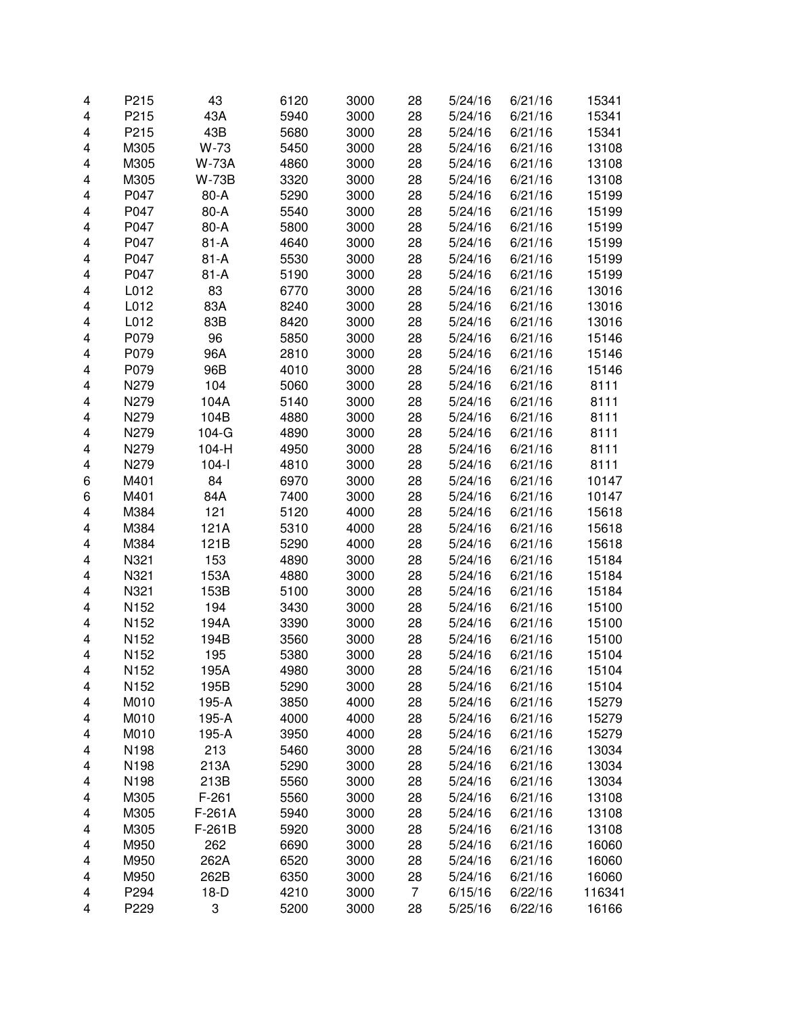| 4                       | P215 | 43           | 6120 | 3000 | 28             | 5/24/16 | 6/21/16 | 15341  |
|-------------------------|------|--------------|------|------|----------------|---------|---------|--------|
| 4                       | P215 | 43A          | 5940 | 3000 | 28             | 5/24/16 | 6/21/16 | 15341  |
| 4                       | P215 | 43B          | 5680 | 3000 | 28             | 5/24/16 | 6/21/16 | 15341  |
| 4                       | M305 | W-73         | 5450 | 3000 | 28             | 5/24/16 | 6/21/16 | 13108  |
| 4                       | M305 | W-73A        | 4860 | 3000 | 28             | 5/24/16 | 6/21/16 | 13108  |
| 4                       | M305 | <b>W-73B</b> | 3320 | 3000 | 28             | 5/24/16 | 6/21/16 | 13108  |
| 4                       | P047 | 80-A         | 5290 | 3000 | 28             | 5/24/16 | 6/21/16 | 15199  |
| 4                       | P047 | 80-A         | 5540 | 3000 | 28             | 5/24/16 | 6/21/16 | 15199  |
| 4                       | P047 | 80-A         | 5800 | 3000 | 28             | 5/24/16 | 6/21/16 | 15199  |
| 4                       | P047 | $81-A$       | 4640 | 3000 | 28             | 5/24/16 | 6/21/16 | 15199  |
| $\overline{\mathbf{4}}$ | P047 | $81 - A$     | 5530 | 3000 | 28             | 5/24/16 | 6/21/16 | 15199  |
| 4                       | P047 | $81 - A$     | 5190 | 3000 | 28             | 5/24/16 | 6/21/16 | 15199  |
| 4                       | L012 | 83           | 6770 | 3000 | 28             | 5/24/16 | 6/21/16 | 13016  |
| 4                       | L012 | 83A          | 8240 | 3000 | 28             | 5/24/16 | 6/21/16 | 13016  |
| 4                       | L012 | 83B          | 8420 | 3000 | 28             | 5/24/16 | 6/21/16 | 13016  |
| $\overline{\mathbf{4}}$ | P079 | 96           | 5850 | 3000 | 28             | 5/24/16 | 6/21/16 | 15146  |
| $\overline{\mathbf{4}}$ | P079 | 96A          | 2810 | 3000 | 28             | 5/24/16 | 6/21/16 | 15146  |
| $\overline{\mathbf{4}}$ | P079 | 96B          | 4010 | 3000 | 28             | 5/24/16 | 6/21/16 | 15146  |
| 4                       | N279 | 104          | 5060 | 3000 | 28             | 5/24/16 | 6/21/16 | 8111   |
| 4                       | N279 | 104A         | 5140 | 3000 | 28             | 5/24/16 | 6/21/16 | 8111   |
| 4                       | N279 | 104B         | 4880 | 3000 | 28             | 5/24/16 | 6/21/16 | 8111   |
| 4                       | N279 | $104-G$      | 4890 | 3000 | 28             | 5/24/16 | 6/21/16 | 8111   |
| 4                       | N279 | 104-H        | 4950 | 3000 | 28             | 5/24/16 | 6/21/16 | 8111   |
| 4                       | N279 | $104-I$      | 4810 | 3000 | 28             | 5/24/16 | 6/21/16 | 8111   |
| 6                       | M401 | 84           | 6970 | 3000 | 28             | 5/24/16 | 6/21/16 | 10147  |
| 6                       | M401 | 84A          | 7400 | 3000 | 28             | 5/24/16 | 6/21/16 | 10147  |
| $\overline{\mathbf{4}}$ | M384 | 121          | 5120 | 4000 | 28             | 5/24/16 | 6/21/16 | 15618  |
| 4                       | M384 | 121A         | 5310 | 4000 | 28             | 5/24/16 | 6/21/16 | 15618  |
| 4                       | M384 | 121B         | 5290 | 4000 | 28             | 5/24/16 | 6/21/16 | 15618  |
| 4                       | N321 | 153          | 4890 | 3000 | 28             | 5/24/16 | 6/21/16 | 15184  |
| 4                       | N321 | 153A         | 4880 | 3000 | 28             | 5/24/16 | 6/21/16 | 15184  |
| 4                       | N321 | 153B         | 5100 | 3000 | 28             | 5/24/16 | 6/21/16 | 15184  |
| $\overline{\mathbf{4}}$ | N152 | 194          | 3430 | 3000 | 28             | 5/24/16 | 6/21/16 | 15100  |
| 4                       | N152 | 194A         | 3390 | 3000 | 28             | 5/24/16 | 6/21/16 | 15100  |
| 4                       | N152 | 194B         | 3560 | 3000 | 28             | 5/24/16 | 6/21/16 | 15100  |
| 4                       | N152 | 195          | 5380 | 3000 | 28             | 5/24/16 | 6/21/16 | 15104  |
| 4                       | N152 | 195A         | 4980 | 3000 | 28             | 5/24/16 | 6/21/16 | 15104  |
| 4                       | N152 | 195B         | 5290 | 3000 | 28             | 5/24/16 | 6/21/16 | 15104  |
| 4                       | M010 | 195-A        | 3850 | 4000 | 28             | 5/24/16 | 6/21/16 | 15279  |
| 4                       | M010 | 195-A        | 4000 | 4000 | 28             | 5/24/16 | 6/21/16 | 15279  |
| 4                       | M010 | 195-A        | 3950 | 4000 | 28             | 5/24/16 | 6/21/16 | 15279  |
| 4                       | N198 | 213          | 5460 | 3000 | 28             | 5/24/16 | 6/21/16 | 13034  |
| 4                       | N198 | 213A         | 5290 | 3000 | 28             | 5/24/16 | 6/21/16 | 13034  |
| 4                       | N198 | 213B         | 5560 | 3000 | 28             | 5/24/16 | 6/21/16 | 13034  |
| 4                       | M305 | $F-261$      | 5560 | 3000 | 28             | 5/24/16 | 6/21/16 | 13108  |
| 4                       | M305 | $F-261A$     | 5940 | 3000 | 28             | 5/24/16 | 6/21/16 | 13108  |
| 4                       | M305 | $F-261B$     | 5920 | 3000 | 28             | 5/24/16 | 6/21/16 | 13108  |
| 4                       | M950 | 262          | 6690 | 3000 | 28             | 5/24/16 | 6/21/16 | 16060  |
| 4                       | M950 | 262A         | 6520 | 3000 | 28             | 5/24/16 | 6/21/16 | 16060  |
| 4                       | M950 | 262B         | 6350 | 3000 | 28             | 5/24/16 | 6/21/16 | 16060  |
| 4                       | P294 | $18-D$       | 4210 | 3000 | $\overline{7}$ | 6/15/16 | 6/22/16 | 116341 |
| 4                       | P229 | 3            | 5200 | 3000 | 28             | 5/25/16 | 6/22/16 | 16166  |
|                         |      |              |      |      |                |         |         |        |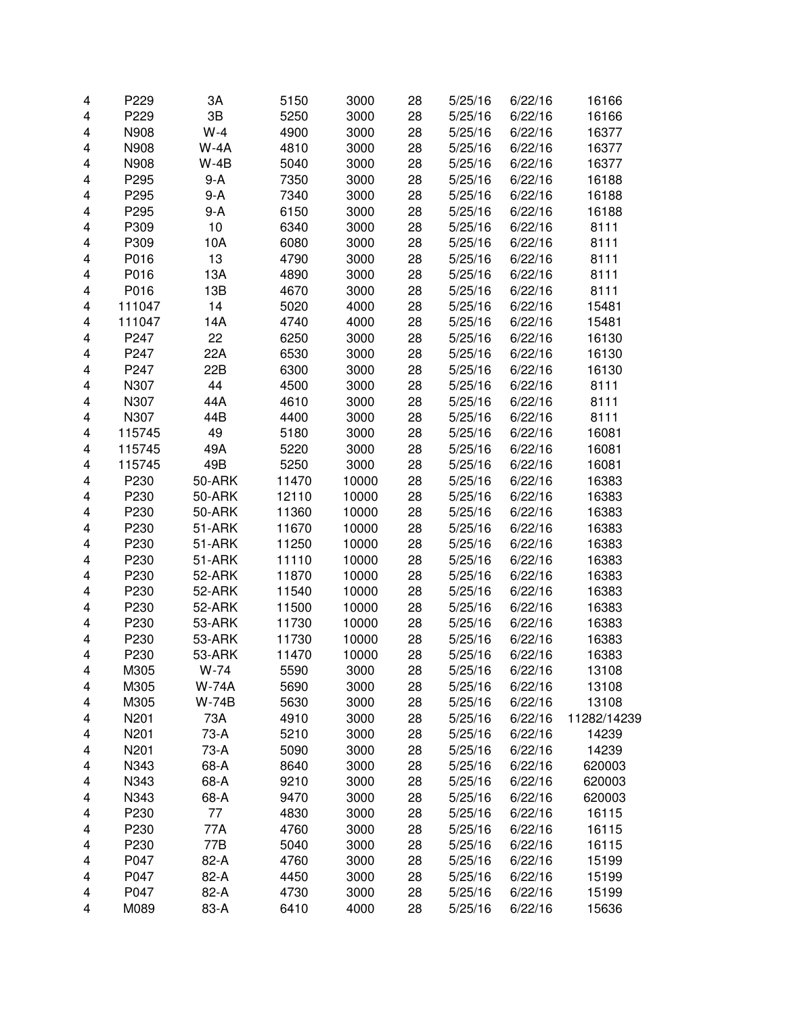| 4                       | P229   | 3A           | 5150  | 3000  | 28 | 5/25/16 | 6/22/16 | 16166       |
|-------------------------|--------|--------------|-------|-------|----|---------|---------|-------------|
| 4                       | P229   | 3B           | 5250  | 3000  | 28 | 5/25/16 | 6/22/16 | 16166       |
| 4                       | N908   | $W-4$        | 4900  | 3000  | 28 | 5/25/16 | 6/22/16 | 16377       |
| 4                       | N908   | $W-4A$       | 4810  | 3000  | 28 | 5/25/16 | 6/22/16 | 16377       |
| 4                       | N908   | $W-4B$       | 5040  | 3000  | 28 | 5/25/16 | 6/22/16 | 16377       |
| 4                       | P295   | $9-A$        | 7350  | 3000  | 28 | 5/25/16 | 6/22/16 | 16188       |
| 4                       | P295   | $9-A$        | 7340  | 3000  | 28 | 5/25/16 | 6/22/16 | 16188       |
| 4                       | P295   | $9-A$        | 6150  | 3000  | 28 | 5/25/16 | 6/22/16 | 16188       |
| 4                       | P309   | 10           | 6340  | 3000  | 28 | 5/25/16 | 6/22/16 | 8111        |
| 4                       | P309   | 10A          | 6080  | 3000  | 28 | 5/25/16 | 6/22/16 | 8111        |
| 4                       | P016   | 13           | 4790  | 3000  | 28 | 5/25/16 | 6/22/16 | 8111        |
| 4                       | P016   | 13A          | 4890  | 3000  | 28 | 5/25/16 | 6/22/16 | 8111        |
| 4                       | P016   | 13B          | 4670  | 3000  | 28 | 5/25/16 | 6/22/16 | 8111        |
| 4                       | 111047 | 14           | 5020  | 4000  | 28 | 5/25/16 | 6/22/16 | 15481       |
| 4                       | 111047 | 14A          | 4740  | 4000  | 28 | 5/25/16 | 6/22/16 | 15481       |
| $\overline{\mathbf{4}}$ | P247   | 22           | 6250  | 3000  | 28 | 5/25/16 | 6/22/16 | 16130       |
| $\overline{\mathbf{4}}$ | P247   | 22A          | 6530  | 3000  | 28 | 5/25/16 | 6/22/16 | 16130       |
| $\overline{\mathbf{4}}$ | P247   | 22B          | 6300  | 3000  | 28 | 5/25/16 | 6/22/16 | 16130       |
| 4                       | N307   | 44           | 4500  | 3000  | 28 | 5/25/16 | 6/22/16 | 8111        |
| 4                       | N307   | 44A          | 4610  | 3000  | 28 | 5/25/16 | 6/22/16 | 8111        |
| 4                       | N307   | 44B          | 4400  | 3000  | 28 | 5/25/16 | 6/22/16 | 8111        |
| 4                       | 115745 | 49           | 5180  | 3000  | 28 | 5/25/16 | 6/22/16 | 16081       |
| 4                       | 115745 | 49A          | 5220  | 3000  | 28 | 5/25/16 | 6/22/16 | 16081       |
| 4                       | 115745 | 49B          | 5250  | 3000  | 28 | 5/25/16 | 6/22/16 | 16081       |
| 4                       | P230   | 50-ARK       | 11470 | 10000 | 28 | 5/25/16 | 6/22/16 | 16383       |
| 4                       | P230   | 50-ARK       | 12110 | 10000 | 28 | 5/25/16 | 6/22/16 | 16383       |
| 4                       | P230   | 50-ARK       | 11360 | 10000 | 28 | 5/25/16 | 6/22/16 | 16383       |
| 4                       | P230   | 51-ARK       | 11670 | 10000 | 28 | 5/25/16 | 6/22/16 | 16383       |
| $\overline{\mathbf{4}}$ | P230   | 51-ARK       | 11250 | 10000 | 28 | 5/25/16 | 6/22/16 | 16383       |
| 4                       | P230   | 51-ARK       | 11110 | 10000 | 28 | 5/25/16 | 6/22/16 | 16383       |
| 4                       | P230   | 52-ARK       | 11870 | 10000 | 28 | 5/25/16 | 6/22/16 | 16383       |
| $\overline{\mathbf{4}}$ | P230   | 52-ARK       | 11540 | 10000 | 28 | 5/25/16 | 6/22/16 | 16383       |
| $\overline{\mathbf{4}}$ | P230   | 52-ARK       | 11500 | 10000 | 28 | 5/25/16 | 6/22/16 | 16383       |
| 4                       | P230   | 53-ARK       | 11730 | 10000 | 28 | 5/25/16 | 6/22/16 | 16383       |
| 4                       | P230   | 53-ARK       | 11730 | 10000 | 28 | 5/25/16 | 6/22/16 | 16383       |
| 4                       | P230   | 53-ARK       | 11470 | 10000 | 28 | 5/25/16 | 6/22/16 | 16383       |
| 4                       | M305   | W-74         | 5590  | 3000  | 28 | 5/25/16 | 6/22/16 | 13108       |
| 4                       | M305   | <b>W-74A</b> | 5690  | 3000  | 28 | 5/25/16 | 6/22/16 | 13108       |
| 4                       | M305   | <b>W-74B</b> | 5630  | 3000  | 28 | 5/25/16 | 6/22/16 | 13108       |
| 4                       | N201   | 73A          | 4910  | 3000  | 28 | 5/25/16 | 6/22/16 | 11282/14239 |
| 4                       | N201   | 73-A         | 5210  | 3000  | 28 | 5/25/16 | 6/22/16 | 14239       |
| 4                       | N201   | 73-A         | 5090  | 3000  | 28 | 5/25/16 | 6/22/16 | 14239       |
| 4                       | N343   | 68-A         | 8640  | 3000  | 28 | 5/25/16 | 6/22/16 | 620003      |
| 4                       | N343   | 68-A         | 9210  | 3000  | 28 | 5/25/16 | 6/22/16 | 620003      |
| 4                       | N343   | 68-A         | 9470  | 3000  | 28 | 5/25/16 | 6/22/16 | 620003      |
| 4                       | P230   | 77           | 4830  | 3000  | 28 | 5/25/16 | 6/22/16 | 16115       |
| 4                       | P230   | 77A          | 4760  | 3000  | 28 | 5/25/16 | 6/22/16 | 16115       |
| 4                       | P230   | 77B          | 5040  | 3000  | 28 | 5/25/16 | 6/22/16 | 16115       |
| 4                       | P047   | 82-A         | 4760  | 3000  | 28 | 5/25/16 | 6/22/16 | 15199       |
| 4                       | P047   | 82-A         | 4450  | 3000  | 28 | 5/25/16 | 6/22/16 | 15199       |
| 4                       | P047   | 82-A         | 4730  | 3000  | 28 | 5/25/16 | 6/22/16 | 15199       |
| 4                       | M089   | 83-A         | 6410  | 4000  | 28 | 5/25/16 | 6/22/16 | 15636       |
|                         |        |              |       |       |    |         |         |             |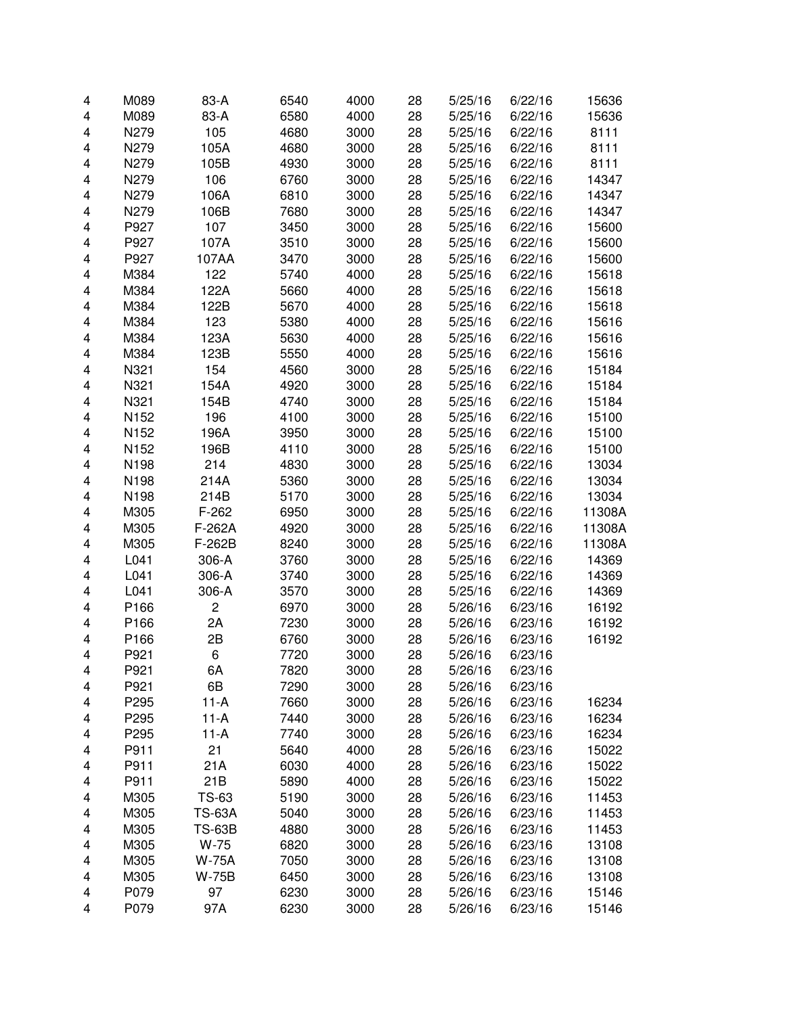| 4                       | M089         | 83-A                    | 6540 | 4000 | 28       | 5/25/16 | 6/22/16 | 15636  |
|-------------------------|--------------|-------------------------|------|------|----------|---------|---------|--------|
| 4                       | M089         | 83-A                    | 6580 | 4000 | 28       | 5/25/16 | 6/22/16 | 15636  |
| 4                       | N279         | 105                     | 4680 | 3000 | 28       | 5/25/16 | 6/22/16 | 8111   |
| 4                       | N279         | 105A                    | 4680 | 3000 | 28       | 5/25/16 | 6/22/16 | 8111   |
| 4                       | N279         | 105B                    | 4930 | 3000 | 28       | 5/25/16 | 6/22/16 | 8111   |
| 4                       | N279         | 106                     | 6760 | 3000 | 28       | 5/25/16 | 6/22/16 | 14347  |
| 4                       | N279         | 106A                    | 6810 | 3000 | 28       | 5/25/16 | 6/22/16 | 14347  |
| 4                       | N279         | 106B                    | 7680 | 3000 | 28       | 5/25/16 | 6/22/16 | 14347  |
| $\overline{\mathbf{4}}$ | P927         | 107                     | 3450 | 3000 | 28       | 5/25/16 | 6/22/16 | 15600  |
| $\overline{\mathbf{4}}$ | P927         | 107A                    | 3510 | 3000 | 28       | 5/25/16 | 6/22/16 | 15600  |
| 4                       | P927         | 107AA                   | 3470 | 3000 | 28       | 5/25/16 | 6/22/16 | 15600  |
| 4                       | M384         | 122                     | 5740 | 4000 | 28       | 5/25/16 | 6/22/16 | 15618  |
| 4                       | M384         | 122A                    | 5660 | 4000 | 28       | 5/25/16 | 6/22/16 | 15618  |
| 4                       | M384         | 122B                    | 5670 | 4000 | 28       | 5/25/16 | 6/22/16 | 15618  |
| $\overline{\mathbf{4}}$ | M384         | 123                     | 5380 | 4000 | 28       | 5/25/16 | 6/22/16 | 15616  |
| 4                       | M384         | 123A                    | 5630 | 4000 | 28       | 5/25/16 | 6/22/16 | 15616  |
| 4                       | M384         | 123B                    | 5550 | 4000 | 28       | 5/25/16 | 6/22/16 | 15616  |
| 4                       | N321         | 154                     | 4560 | 3000 | 28       | 5/25/16 | 6/22/16 | 15184  |
| 4                       | N321         | 154A                    | 4920 | 3000 | 28       | 5/25/16 | 6/22/16 | 15184  |
| 4                       | N321         | 154B                    | 4740 | 3000 | 28       | 5/25/16 | 6/22/16 | 15184  |
| 4                       | N152         | 196                     | 4100 | 3000 | 28       | 5/25/16 | 6/22/16 | 15100  |
| 4                       | N152         | 196A                    | 3950 | 3000 | 28       | 5/25/16 | 6/22/16 | 15100  |
| 4                       | N152         | 196B                    | 4110 | 3000 | 28       | 5/25/16 | 6/22/16 | 15100  |
| 4                       | N198         | 214                     | 4830 | 3000 | 28       | 5/25/16 | 6/22/16 | 13034  |
| $\overline{\mathbf{4}}$ | N198         | 214A                    | 5360 | 3000 | 28       | 5/25/16 | 6/22/16 | 13034  |
| $\overline{\mathbf{4}}$ | N198         | 214B                    | 5170 | 3000 | 28       | 5/25/16 | 6/22/16 | 13034  |
| 4                       | M305         | $F-262$                 | 6950 | 3000 | 28       | 5/25/16 | 6/22/16 | 11308A |
| 4                       | M305         | F-262A                  | 4920 | 3000 | 28       | 5/25/16 | 6/22/16 | 11308A |
| 4                       | M305         | F-262B                  | 8240 | 3000 | 28       | 5/25/16 | 6/22/16 | 11308A |
| 4                       | L041         | 306-A                   | 3760 | 3000 | 28       | 5/25/16 | 6/22/16 | 14369  |
| 4                       | L041         | 306-A                   | 3740 | 3000 | 28       | 5/25/16 | 6/22/16 | 14369  |
| $\overline{\mathbf{4}}$ | L041         | 306-A                   | 3570 | 3000 | 28       | 5/25/16 | 6/22/16 | 14369  |
| $\overline{\mathbf{4}}$ | P166         | $\mathbf 2$             | 6970 | 3000 | 28       | 5/26/16 | 6/23/16 | 16192  |
| 4                       | P166         | 2A                      | 7230 | 3000 | 28       | 5/26/16 | 6/23/16 | 16192  |
| 4                       | P166         | 2B                      | 6760 | 3000 | 28       | 5/26/16 | 6/23/16 | 16192  |
| 4                       | P921         | 6                       | 7720 | 3000 | 28       | 5/26/16 | 6/23/16 |        |
| 4                       | P921         | 6A                      | 7820 | 3000 | 28       | 5/26/16 | 6/23/16 |        |
| 4                       | P921         | 6B                      | 7290 | 3000 | 28       | 5/26/16 | 6/23/16 |        |
| 4                       | P295         | $11-A$                  | 7660 | 3000 | 28       | 5/26/16 | 6/23/16 | 16234  |
| 4                       | P295         | $11-A$                  | 7440 | 3000 | 28       | 5/26/16 | 6/23/16 | 16234  |
| 4                       | P295         | $11-A$                  | 7740 | 3000 | 28       | 5/26/16 | 6/23/16 | 16234  |
| 4                       | P911         | 21                      | 5640 | 4000 | 28       | 5/26/16 | 6/23/16 | 15022  |
| 4                       | P911         | 21A                     | 6030 | 4000 | 28       | 5/26/16 | 6/23/16 | 15022  |
| 4                       | P911         | 21B                     | 5890 | 4000 | 28       | 5/26/16 | 6/23/16 | 15022  |
|                         | M305         | TS-63                   | 5190 | 3000 | 28       | 5/26/16 | 6/23/16 | 11453  |
| 4<br>4                  | M305         | <b>TS-63A</b>           | 5040 | 3000 | 28       | 5/26/16 | 6/23/16 | 11453  |
|                         |              |                         |      |      |          |         | 6/23/16 |        |
| 4                       | M305<br>M305 | <b>TS-63B</b><br>$W-75$ | 4880 | 3000 | 28<br>28 | 5/26/16 |         | 11453  |
| 4                       |              |                         | 6820 | 3000 |          | 5/26/16 | 6/23/16 | 13108  |
| 4                       | M305         | W-75A                   | 7050 | 3000 | 28       | 5/26/16 | 6/23/16 | 13108  |
| 4                       | M305         | W-75B                   | 6450 | 3000 | 28       | 5/26/16 | 6/23/16 | 13108  |
| 4                       | P079         | 97                      | 6230 | 3000 | 28       | 5/26/16 | 6/23/16 | 15146  |
| 4                       | P079         | 97A                     | 6230 | 3000 | 28       | 5/26/16 | 6/23/16 | 15146  |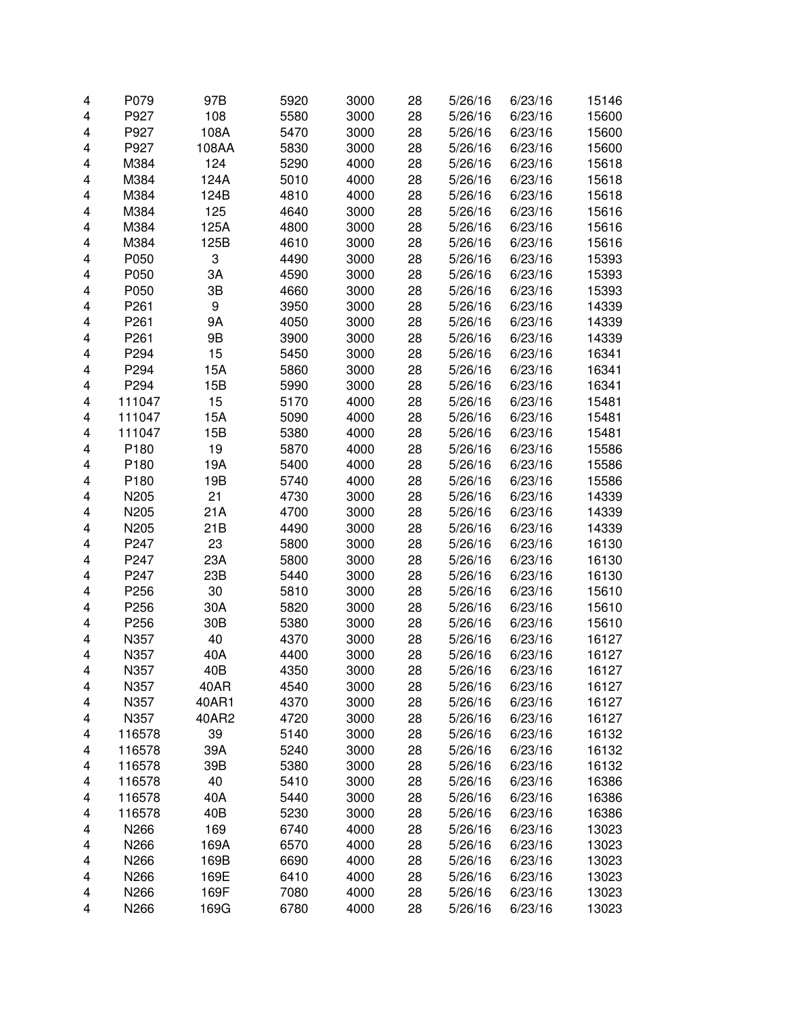| 4 | P079   | 97B   | 5920 | 3000 | 28 | 5/26/16 | 6/23/16 | 15146 |
|---|--------|-------|------|------|----|---------|---------|-------|
| 4 | P927   | 108   | 5580 | 3000 | 28 | 5/26/16 | 6/23/16 | 15600 |
| 4 | P927   | 108A  | 5470 | 3000 | 28 | 5/26/16 | 6/23/16 | 15600 |
| 4 | P927   | 108AA | 5830 | 3000 | 28 | 5/26/16 | 6/23/16 | 15600 |
| 4 | M384   | 124   | 5290 | 4000 | 28 | 5/26/16 | 6/23/16 | 15618 |
| 4 | M384   | 124A  | 5010 | 4000 | 28 | 5/26/16 | 6/23/16 | 15618 |
| 4 | M384   | 124B  | 4810 | 4000 | 28 | 5/26/16 | 6/23/16 | 15618 |
| 4 | M384   | 125   | 4640 | 3000 | 28 | 5/26/16 | 6/23/16 | 15616 |
| 4 | M384   | 125A  | 4800 | 3000 | 28 | 5/26/16 | 6/23/16 | 15616 |
| 4 | M384   | 125B  | 4610 | 3000 | 28 | 5/26/16 | 6/23/16 | 15616 |
| 4 | P050   | 3     | 4490 | 3000 | 28 | 5/26/16 | 6/23/16 | 15393 |
| 4 | P050   | 3A    | 4590 | 3000 | 28 | 5/26/16 | 6/23/16 | 15393 |
| 4 | P050   | 3B    | 4660 | 3000 | 28 | 5/26/16 | 6/23/16 | 15393 |
| 4 | P261   | 9     | 3950 | 3000 | 28 | 5/26/16 | 6/23/16 | 14339 |
| 4 | P261   | 9A    | 4050 | 3000 | 28 | 5/26/16 | 6/23/16 | 14339 |
| 4 | P261   | 9Β    | 3900 | 3000 | 28 | 5/26/16 | 6/23/16 | 14339 |
| 4 | P294   | 15    | 5450 | 3000 | 28 | 5/26/16 | 6/23/16 | 16341 |
| 4 | P294   | 15A   | 5860 | 3000 | 28 | 5/26/16 | 6/23/16 | 16341 |
| 4 | P294   | 15B   | 5990 | 3000 | 28 | 5/26/16 | 6/23/16 | 16341 |
|   |        |       |      |      |    | 5/26/16 | 6/23/16 |       |
| 4 | 111047 | 15    | 5170 | 4000 | 28 |         |         | 15481 |
| 4 | 111047 | 15A   | 5090 | 4000 | 28 | 5/26/16 | 6/23/16 | 15481 |
| 4 | 111047 | 15B   | 5380 | 4000 | 28 | 5/26/16 | 6/23/16 | 15481 |
| 4 | P180   | 19    | 5870 | 4000 | 28 | 5/26/16 | 6/23/16 | 15586 |
| 4 | P180   | 19A   | 5400 | 4000 | 28 | 5/26/16 | 6/23/16 | 15586 |
| 4 | P180   | 19B   | 5740 | 4000 | 28 | 5/26/16 | 6/23/16 | 15586 |
| 4 | N205   | 21    | 4730 | 3000 | 28 | 5/26/16 | 6/23/16 | 14339 |
| 4 | N205   | 21A   | 4700 | 3000 | 28 | 5/26/16 | 6/23/16 | 14339 |
| 4 | N205   | 21B   | 4490 | 3000 | 28 | 5/26/16 | 6/23/16 | 14339 |
| 4 | P247   | 23    | 5800 | 3000 | 28 | 5/26/16 | 6/23/16 | 16130 |
| 4 | P247   | 23A   | 5800 | 3000 | 28 | 5/26/16 | 6/23/16 | 16130 |
| 4 | P247   | 23B   | 5440 | 3000 | 28 | 5/26/16 | 6/23/16 | 16130 |
| 4 | P256   | 30    | 5810 | 3000 | 28 | 5/26/16 | 6/23/16 | 15610 |
| 4 | P256   | 30A   | 5820 | 3000 | 28 | 5/26/16 | 6/23/16 | 15610 |
| 4 | P256   | 30B   | 5380 | 3000 | 28 | 5/26/16 | 6/23/16 | 15610 |
| 4 | N357   | 40    | 4370 | 3000 | 28 | 5/26/16 | 6/23/16 | 16127 |
| 4 | N357   | 40A   | 4400 | 3000 | 28 | 5/26/16 | 6/23/16 | 16127 |
| 4 | N357   | 40B   | 4350 | 3000 | 28 | 5/26/16 | 6/23/16 | 16127 |
| 4 | N357   | 40AR  | 4540 | 3000 | 28 | 5/26/16 | 6/23/16 | 16127 |
| 4 | N357   | 40AR1 | 4370 | 3000 | 28 | 5/26/16 | 6/23/16 | 16127 |
| 4 | N357   | 40AR2 | 4720 | 3000 | 28 | 5/26/16 | 6/23/16 | 16127 |
| 4 | 116578 | 39    | 5140 | 3000 | 28 | 5/26/16 | 6/23/16 | 16132 |
| 4 | 116578 | 39A   | 5240 | 3000 | 28 | 5/26/16 | 6/23/16 | 16132 |
| 4 | 116578 | 39B   | 5380 | 3000 | 28 | 5/26/16 | 6/23/16 | 16132 |
| 4 | 116578 | 40    | 5410 | 3000 | 28 | 5/26/16 | 6/23/16 | 16386 |
| 4 | 116578 | 40A   | 5440 | 3000 | 28 | 5/26/16 | 6/23/16 | 16386 |
| 4 | 116578 | 40B   | 5230 | 3000 | 28 | 5/26/16 | 6/23/16 | 16386 |
| 4 | N266   | 169   | 6740 | 4000 | 28 | 5/26/16 | 6/23/16 | 13023 |
| 4 | N266   | 169A  | 6570 | 4000 | 28 | 5/26/16 | 6/23/16 | 13023 |
| 4 | N266   | 169B  | 6690 | 4000 | 28 | 5/26/16 | 6/23/16 | 13023 |
| 4 | N266   | 169E  | 6410 | 4000 | 28 | 5/26/16 | 6/23/16 | 13023 |
| 4 | N266   | 169F  | 7080 | 4000 | 28 | 5/26/16 | 6/23/16 | 13023 |
| 4 | N266   | 169G  | 6780 | 4000 | 28 | 5/26/16 | 6/23/16 | 13023 |
|   |        |       |      |      |    |         |         |       |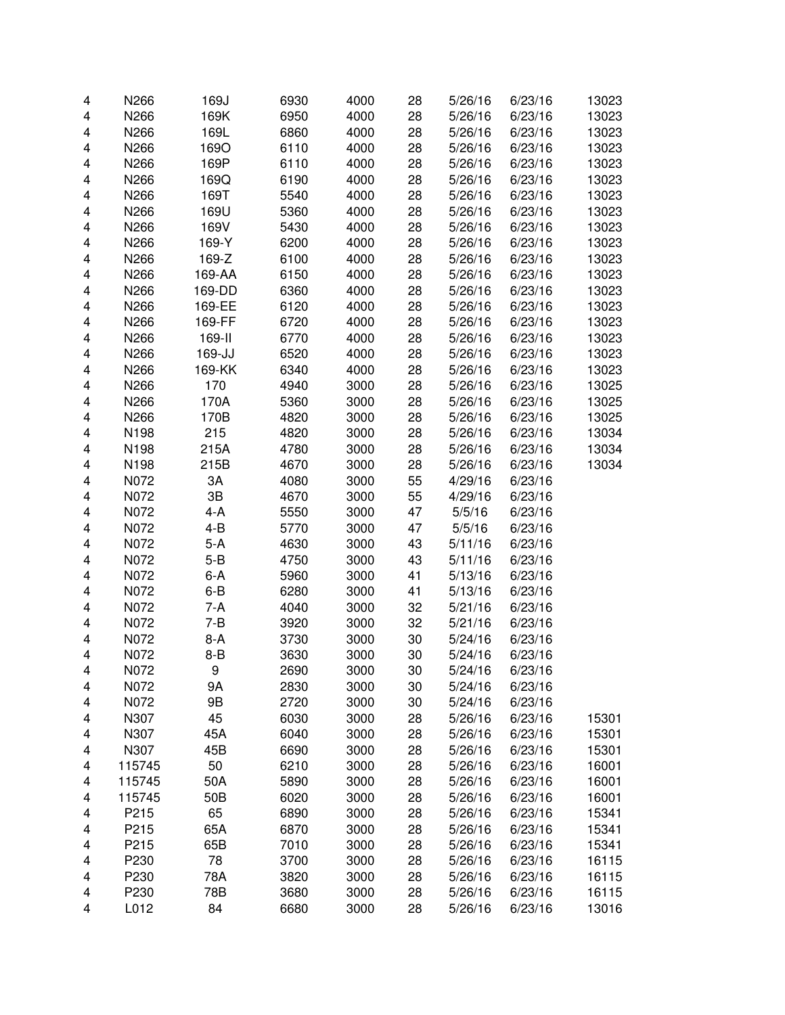| 4 | N266   | 169J    | 6930 | 4000 | 28 | 5/26/16 | 6/23/16 | 13023 |
|---|--------|---------|------|------|----|---------|---------|-------|
| 4 | N266   | 169K    | 6950 | 4000 | 28 | 5/26/16 | 6/23/16 | 13023 |
| 4 | N266   | 169L    | 6860 | 4000 | 28 | 5/26/16 | 6/23/16 | 13023 |
| 4 | N266   | 169O    | 6110 | 4000 | 28 | 5/26/16 | 6/23/16 | 13023 |
| 4 | N266   | 169P    | 6110 | 4000 | 28 | 5/26/16 | 6/23/16 | 13023 |
| 4 | N266   | 169Q    | 6190 | 4000 | 28 | 5/26/16 | 6/23/16 | 13023 |
| 4 | N266   | 169T    | 5540 | 4000 | 28 | 5/26/16 | 6/23/16 | 13023 |
| 4 | N266   | 169U    | 5360 | 4000 | 28 | 5/26/16 | 6/23/16 | 13023 |
| 4 | N266   | 169V    | 5430 | 4000 | 28 | 5/26/16 | 6/23/16 | 13023 |
| 4 | N266   | 169-Y   | 6200 | 4000 | 28 | 5/26/16 | 6/23/16 | 13023 |
| 4 | N266   | 169-Z   | 6100 | 4000 | 28 | 5/26/16 | 6/23/16 | 13023 |
| 4 | N266   | 169-AA  | 6150 | 4000 | 28 | 5/26/16 | 6/23/16 | 13023 |
| 4 | N266   | 169-DD  | 6360 | 4000 | 28 | 5/26/16 | 6/23/16 | 13023 |
| 4 | N266   | 169-EE  | 6120 | 4000 | 28 | 5/26/16 | 6/23/16 | 13023 |
| 4 | N266   | 169-FF  | 6720 | 4000 | 28 | 5/26/16 | 6/23/16 | 13023 |
| 4 | N266   | 169-II  | 6770 | 4000 | 28 | 5/26/16 | 6/23/16 | 13023 |
| 4 | N266   | 169-JJ  | 6520 | 4000 | 28 | 5/26/16 | 6/23/16 | 13023 |
| 4 | N266   | 169-KK  | 6340 | 4000 | 28 | 5/26/16 | 6/23/16 | 13023 |
| 4 | N266   | 170     | 4940 | 3000 | 28 | 5/26/16 | 6/23/16 | 13025 |
| 4 | N266   | 170A    | 5360 | 3000 | 28 | 5/26/16 | 6/23/16 | 13025 |
| 4 | N266   | 170B    | 4820 | 3000 | 28 | 5/26/16 | 6/23/16 | 13025 |
| 4 | N198   | 215     | 4820 | 3000 | 28 | 5/26/16 | 6/23/16 | 13034 |
| 4 | N198   | 215A    | 4780 | 3000 | 28 | 5/26/16 | 6/23/16 | 13034 |
| 4 | N198   | 215B    | 4670 | 3000 | 28 | 5/26/16 | 6/23/16 | 13034 |
| 4 | N072   | 3A      | 4080 | 3000 | 55 | 4/29/16 | 6/23/16 |       |
| 4 | N072   | 3B      | 4670 | 3000 | 55 | 4/29/16 | 6/23/16 |       |
| 4 | N072   | $4-A$   | 5550 | 3000 | 47 | 5/5/16  | 6/23/16 |       |
| 4 | N072   | 4-B     | 5770 | 3000 | 47 | 5/5/16  | 6/23/16 |       |
| 4 | N072   | $5-A$   | 4630 | 3000 | 43 | 5/11/16 | 6/23/16 |       |
| 4 | N072   | $5 - B$ | 4750 | 3000 | 43 | 5/11/16 | 6/23/16 |       |
| 4 | N072   | $6-A$   | 5960 | 3000 | 41 | 5/13/16 | 6/23/16 |       |
| 4 | N072   | $6 - B$ | 6280 | 3000 | 41 | 5/13/16 | 6/23/16 |       |
| 4 | N072   | $7-A$   | 4040 | 3000 | 32 | 5/21/16 | 6/23/16 |       |
| 4 | N072   | $7 - B$ | 3920 | 3000 | 32 | 5/21/16 | 6/23/16 |       |
| 4 | N072   | 8-A     | 3730 | 3000 | 30 | 5/24/16 | 6/23/16 |       |
| 4 | N072   | $8 - B$ | 3630 | 3000 | 30 | 5/24/16 | 6/23/16 |       |
| 4 | N072   | 9       | 2690 | 3000 | 30 | 5/24/16 | 6/23/16 |       |
| 4 | N072   | 9A      | 2830 | 3000 | 30 | 5/24/16 | 6/23/16 |       |
| 4 | N072   | 9Β      | 2720 | 3000 | 30 | 5/24/16 | 6/23/16 |       |
| 4 | N307   | 45      | 6030 | 3000 | 28 | 5/26/16 | 6/23/16 | 15301 |
| 4 | N307   | 45A     | 6040 | 3000 | 28 | 5/26/16 | 6/23/16 | 15301 |
| 4 | N307   | 45B     | 6690 | 3000 | 28 | 5/26/16 | 6/23/16 | 15301 |
| 4 | 115745 | 50      | 6210 | 3000 | 28 | 5/26/16 | 6/23/16 | 16001 |
| 4 | 115745 | 50A     | 5890 | 3000 | 28 | 5/26/16 | 6/23/16 | 16001 |
| 4 | 115745 | 50B     | 6020 | 3000 | 28 | 5/26/16 | 6/23/16 | 16001 |
| 4 | P215   | 65      | 6890 | 3000 | 28 | 5/26/16 | 6/23/16 | 15341 |
| 4 | P215   | 65A     | 6870 | 3000 | 28 | 5/26/16 | 6/23/16 | 15341 |
| 4 | P215   | 65B     | 7010 | 3000 | 28 | 5/26/16 | 6/23/16 | 15341 |
| 4 | P230   | 78      | 3700 | 3000 | 28 | 5/26/16 | 6/23/16 | 16115 |
| 4 | P230   | 78A     | 3820 | 3000 | 28 | 5/26/16 | 6/23/16 | 16115 |
| 4 | P230   | 78B     | 3680 | 3000 | 28 | 5/26/16 | 6/23/16 | 16115 |
| 4 | L012   | 84      | 6680 | 3000 | 28 | 5/26/16 | 6/23/16 | 13016 |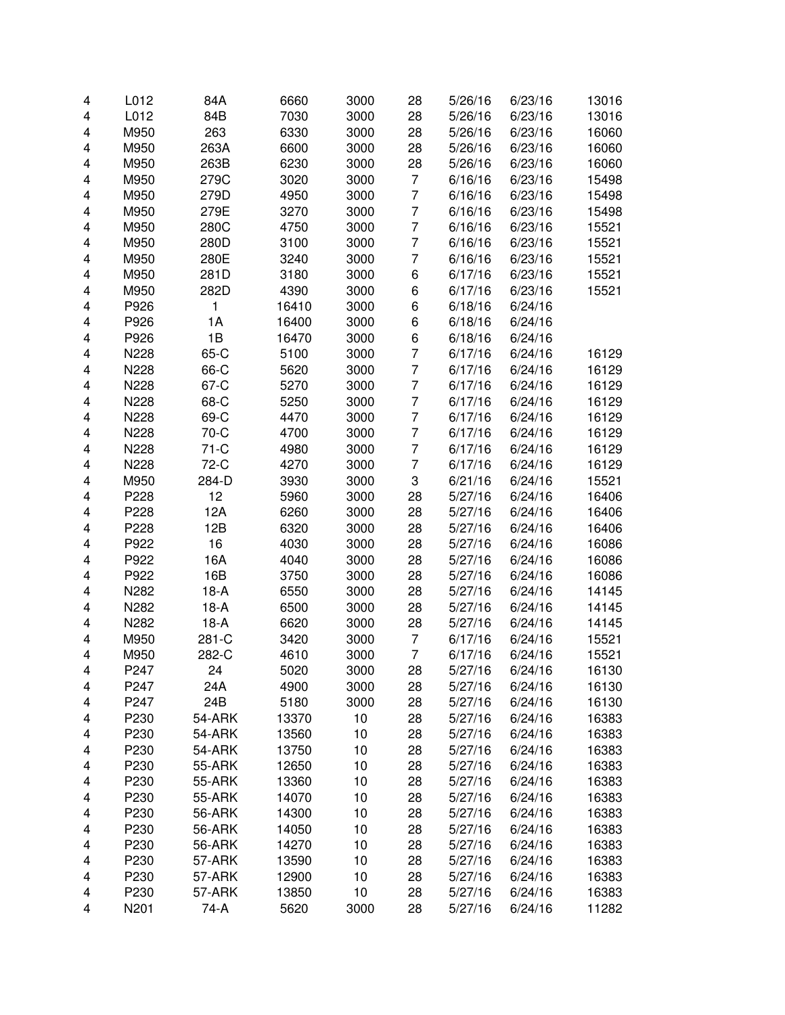| 4 | L012 | 84A    | 6660  | 3000 | 28             | 5/26/16 | 6/23/16 | 13016 |
|---|------|--------|-------|------|----------------|---------|---------|-------|
| 4 | L012 | 84B    | 7030  | 3000 | 28             | 5/26/16 | 6/23/16 | 13016 |
| 4 | M950 | 263    | 6330  | 3000 | 28             | 5/26/16 | 6/23/16 | 16060 |
| 4 | M950 | 263A   | 6600  | 3000 | 28             | 5/26/16 | 6/23/16 | 16060 |
| 4 | M950 | 263B   | 6230  | 3000 | 28             | 5/26/16 | 6/23/16 | 16060 |
| 4 | M950 | 279C   | 3020  | 3000 | $\overline{7}$ | 6/16/16 | 6/23/16 | 15498 |
| 4 | M950 | 279D   | 4950  | 3000 | $\overline{7}$ | 6/16/16 | 6/23/16 | 15498 |
| 4 | M950 | 279E   | 3270  | 3000 | $\overline{7}$ | 6/16/16 | 6/23/16 | 15498 |
| 4 | M950 | 280C   | 4750  | 3000 | $\overline{7}$ | 6/16/16 | 6/23/16 | 15521 |
| 4 | M950 | 280D   | 3100  | 3000 | $\overline{7}$ | 6/16/16 | 6/23/16 | 15521 |
| 4 | M950 | 280E   | 3240  | 3000 | $\overline{7}$ | 6/16/16 | 6/23/16 | 15521 |
| 4 | M950 | 281D   | 3180  | 3000 | 6              | 6/17/16 | 6/23/16 | 15521 |
| 4 | M950 | 282D   | 4390  | 3000 | 6              | 6/17/16 | 6/23/16 | 15521 |
| 4 | P926 | 1      | 16410 | 3000 | 6              | 6/18/16 | 6/24/16 |       |
| 4 | P926 | 1A     | 16400 | 3000 | 6              | 6/18/16 | 6/24/16 |       |
| 4 | P926 | 1B     | 16470 | 3000 | 6              | 6/18/16 | 6/24/16 |       |
| 4 | N228 | 65-C   | 5100  | 3000 | $\overline{7}$ | 6/17/16 | 6/24/16 | 16129 |
| 4 | N228 | 66-C   | 5620  | 3000 | $\overline{7}$ | 6/17/16 | 6/24/16 | 16129 |
| 4 | N228 | 67-C   | 5270  | 3000 | $\overline{7}$ | 6/17/16 | 6/24/16 | 16129 |
| 4 | N228 | 68-C   | 5250  | 3000 | $\overline{7}$ | 6/17/16 | 6/24/16 | 16129 |
| 4 | N228 | 69-C   | 4470  | 3000 | 7              | 6/17/16 | 6/24/16 | 16129 |
| 4 | N228 | 70-C   | 4700  | 3000 | $\overline{7}$ | 6/17/16 | 6/24/16 | 16129 |
| 4 | N228 | $71-C$ | 4980  | 3000 | $\overline{7}$ | 6/17/16 | 6/24/16 | 16129 |
| 4 | N228 | 72-C   | 4270  | 3000 | $\overline{7}$ | 6/17/16 | 6/24/16 | 16129 |
| 4 | M950 | 284-D  | 3930  | 3000 | 3              | 6/21/16 | 6/24/16 | 15521 |
| 4 | P228 | 12     | 5960  | 3000 | 28             | 5/27/16 | 6/24/16 | 16406 |
| 4 | P228 | 12A    | 6260  | 3000 | 28             | 5/27/16 | 6/24/16 | 16406 |
| 4 | P228 | 12B    | 6320  | 3000 | 28             | 5/27/16 | 6/24/16 | 16406 |
| 4 | P922 | 16     | 4030  | 3000 | 28             | 5/27/16 | 6/24/16 | 16086 |
| 4 | P922 | 16A    | 4040  | 3000 | 28             | 5/27/16 | 6/24/16 | 16086 |
| 4 | P922 | 16B    | 3750  | 3000 | 28             | 5/27/16 | 6/24/16 | 16086 |
| 4 | N282 | $18-A$ | 6550  | 3000 | 28             | 5/27/16 | 6/24/16 | 14145 |
| 4 | N282 | $18-A$ | 6500  | 3000 | 28             | 5/27/16 | 6/24/16 | 14145 |
| 4 | N282 | $18-A$ | 6620  | 3000 | 28             | 5/27/16 | 6/24/16 | 14145 |
| 4 | M950 | 281-C  | 3420  | 3000 | 7              | 6/17/16 | 6/24/16 | 15521 |
| 4 | M950 | 282-C  | 4610  | 3000 | 7              | 6/17/16 | 6/24/16 | 15521 |
| 4 | P247 | 24     | 5020  | 3000 | 28             | 5/27/16 | 6/24/16 | 16130 |
| 4 | P247 | 24A    | 4900  | 3000 | 28             | 5/27/16 | 6/24/16 | 16130 |
| 4 | P247 | 24B    | 5180  | 3000 | 28             | 5/27/16 | 6/24/16 | 16130 |
| 4 | P230 | 54-ARK | 13370 | 10   | 28             | 5/27/16 | 6/24/16 | 16383 |
| 4 | P230 | 54-ARK | 13560 | 10   | 28             | 5/27/16 | 6/24/16 | 16383 |
| 4 | P230 | 54-ARK | 13750 | 10   | 28             | 5/27/16 | 6/24/16 | 16383 |
| 4 | P230 | 55-ARK | 12650 | 10   | 28             | 5/27/16 | 6/24/16 | 16383 |
| 4 | P230 | 55-ARK | 13360 | 10   | 28             | 5/27/16 | 6/24/16 | 16383 |
| 4 | P230 | 55-ARK | 14070 | 10   | 28             | 5/27/16 | 6/24/16 | 16383 |
| 4 | P230 | 56-ARK | 14300 | 10   | 28             | 5/27/16 | 6/24/16 | 16383 |
| 4 | P230 | 56-ARK | 14050 | 10   | 28             | 5/27/16 | 6/24/16 | 16383 |
| 4 | P230 | 56-ARK | 14270 | 10   | 28             | 5/27/16 | 6/24/16 | 16383 |
| 4 | P230 | 57-ARK | 13590 | 10   | 28             | 5/27/16 | 6/24/16 | 16383 |
| 4 | P230 | 57-ARK | 12900 | 10   | 28             | 5/27/16 | 6/24/16 | 16383 |
| 4 | P230 | 57-ARK | 13850 | 10   | 28             | 5/27/16 | 6/24/16 | 16383 |
| 4 | N201 | 74-A   | 5620  | 3000 | 28             | 5/27/16 | 6/24/16 | 11282 |
|   |      |        |       |      |                |         |         |       |